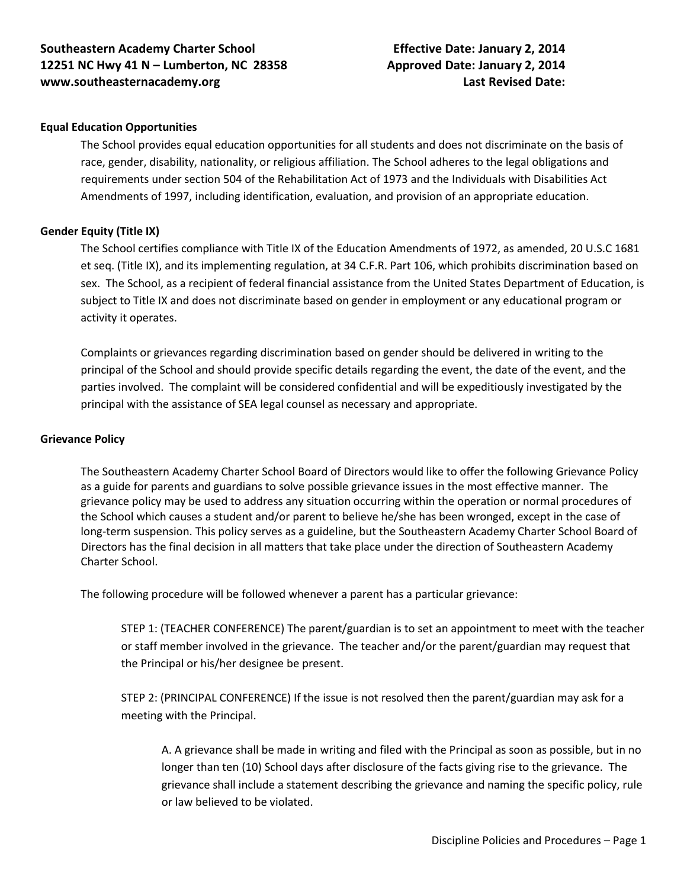## **Equal Education Opportunities**

The School provides equal education opportunities for all students and does not discriminate on the basis of race, gender, disability, nationality, or religious affiliation. The School adheres to the legal obligations and requirements under section 504 of the Rehabilitation Act of 1973 and the Individuals with Disabilities Act Amendments of 1997, including identification, evaluation, and provision of an appropriate education.

## **Gender Equity (Title IX)**

The School certifies compliance with Title IX of the Education Amendments of 1972, as amended, 20 U.S.C 1681 et seq. (Title IX), and its implementing regulation, at 34 C.F.R. Part 106, which prohibits discrimination based on sex. The School, as a recipient of federal financial assistance from the United States Department of Education, is subject to Title IX and does not discriminate based on gender in employment or any educational program or activity it operates.

Complaints or grievances regarding discrimination based on gender should be delivered in writing to the principal of the School and should provide specific details regarding the event, the date of the event, and the parties involved. The complaint will be considered confidential and will be expeditiously investigated by the principal with the assistance of SEA legal counsel as necessary and appropriate.

## **Grievance Policy**

The Southeastern Academy Charter School Board of Directors would like to offer the following Grievance Policy as a guide for parents and guardians to solve possible grievance issues in the most effective manner. The grievance policy may be used to address any situation occurring within the operation or normal procedures of the School which causes a student and/or parent to believe he/she has been wronged, except in the case of long-term suspension. This policy serves as a guideline, but the Southeastern Academy Charter School Board of Directors has the final decision in all matters that take place under the direction of Southeastern Academy Charter School.

The following procedure will be followed whenever a parent has a particular grievance:

STEP 1: (TEACHER CONFERENCE) The parent/guardian is to set an appointment to meet with the teacher or staff member involved in the grievance. The teacher and/or the parent/guardian may request that the Principal or his/her designee be present.

STEP 2: (PRINCIPAL CONFERENCE) If the issue is not resolved then the parent/guardian may ask for a meeting with the Principal.

A. A grievance shall be made in writing and filed with the Principal as soon as possible, but in no longer than ten (10) School days after disclosure of the facts giving rise to the grievance. The grievance shall include a statement describing the grievance and naming the specific policy, rule or law believed to be violated.